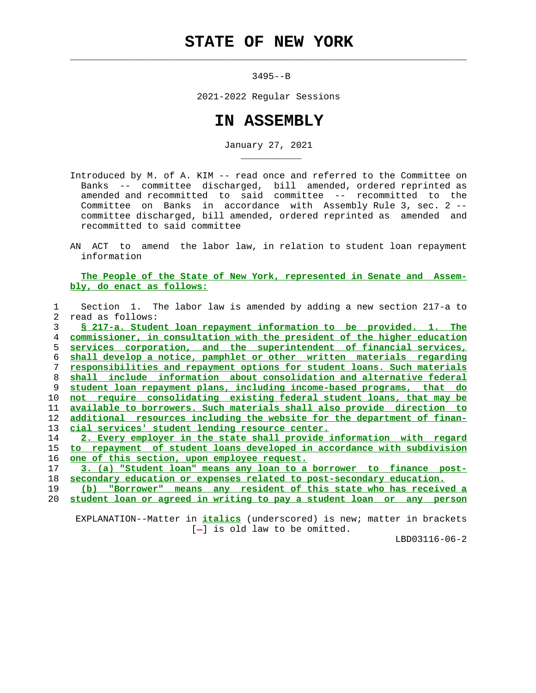$\mathcal{L}_\text{max} = \frac{1}{2} \sum_{i=1}^{n} \frac{1}{2} \sum_{i=1}^{n} \frac{1}{2} \sum_{i=1}^{n} \frac{1}{2} \sum_{i=1}^{n} \frac{1}{2} \sum_{i=1}^{n} \frac{1}{2} \sum_{i=1}^{n} \frac{1}{2} \sum_{i=1}^{n} \frac{1}{2} \sum_{i=1}^{n} \frac{1}{2} \sum_{i=1}^{n} \frac{1}{2} \sum_{i=1}^{n} \frac{1}{2} \sum_{i=1}^{n} \frac{1}{2} \sum_{i=1}^{n} \frac{1$ 

\_\_\_\_\_\_\_\_\_\_\_

3495--B

2021-2022 Regular Sessions

## **IN ASSEMBLY**

January 27, 2021

- Introduced by M. of A. KIM -- read once and referred to the Committee on Banks -- committee discharged, bill amended, ordered reprinted as amended and recommitted to said committee -- recommitted to the Committee on Banks in accordance with Assembly Rule 3, sec. 2 - committee discharged, bill amended, ordered reprinted as amended and recommitted to said committee
- AN ACT to amend the labor law, in relation to student loan repayment information

 **The People of the State of New York, represented in Senate and Assem bly, do enact as follows:**

|    | Section 1. The labor law is amended by adding a new section 217-a to          |
|----|-------------------------------------------------------------------------------|
| 2  | read as follows:                                                              |
| 3  | § 217-a. Student loan repayment information to be provided. 1. The            |
| 4  | commissioner, in consultation with the president of the higher education      |
| 5  | corporation, and the superintendent of financial services,<br>services        |
| 6  | shall develop a notice, pamphlet or other written materials regarding         |
|    | responsibilities and repayment options for student loans. Such materials      |
| 8  | shall include information about consolidation and alternative federal         |
| 9  | student loan repayment plans, including income-based programs, that do        |
| 10 | not require consolidating existing federal student loans, that may be         |
| 11 | available to borrowers. Such materials shall also provide direction to        |
| 12 | additional resources including the website for the department of finan-       |
| 13 | cial services' student lending resource center.                               |
| 14 | 2. Every employer in the state shall provide information with regard          |
| 15 | <u>to repayment of student loans developed in accordance with subdivision</u> |
| 16 | <u>one of this section, upon employee request.</u>                            |
| 17 | 3. (a) "Student loan" means any loan to a borrower to finance post-           |
| 18 | secondary education or expenses related to post-secondary education.          |
| 19 | any resident of this state who has received a<br>(b)<br>"Borrower"<br>means   |
| 20 | student loan or agreed in writing to pay a student loan or any person         |

 EXPLANATION--Matter in **italics** (underscored) is new; matter in brackets  $[-]$  is old law to be omitted.

LBD03116-06-2